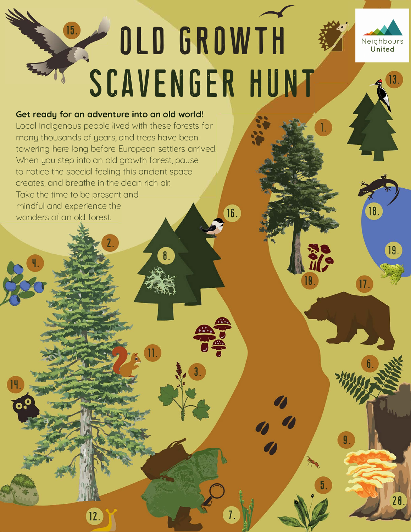# <u>and the set of the set of the set of the set of the set of the set of the set of the set of the set of the set of the set of the set of the set of the set of the set of the set of the set of the set of the set of the set </u>  $(15)$ **OLD GROWTH SCAVENGER HUNT**

8

16.

 $\overline{1}$ 



18

 $(17)$ 

19.

 $13.$ 

# **Get ready for an adventure into an old world!**

Local Indigenous people lived with these forests for many thousands of years, and trees have been towering here long before European settlers arrived. When you step into an old growth forest, pause to notice the special feeling this ancient space creates, and breathe in the clean rich air Take the time to be present and mindful and experience the wonders of an old forest.